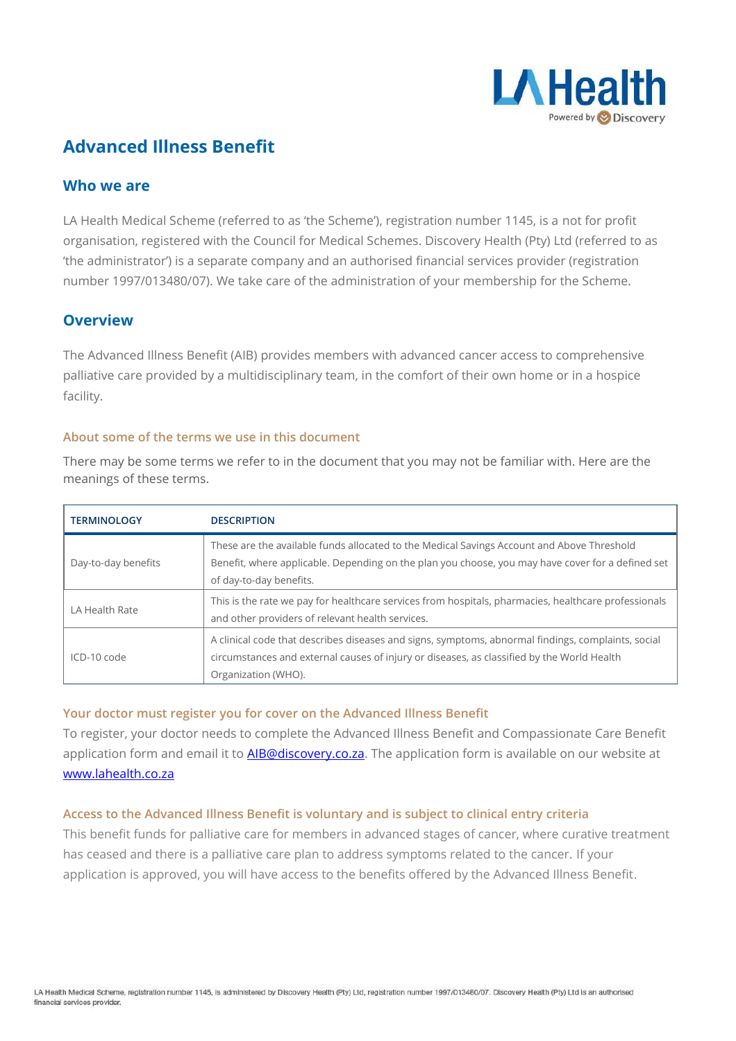

# **Advanced Illness Benefit**

### **Who we are**

LA Health Medical Scheme (referred to as 'the Scheme'), registration number 1145, is a not for profit organisation, registered with the Council for Medical Schemes. Discovery Health (Pty) Ltd (referred to as 'the administrator') is a separate company and an authorised financial services provider (registration number 1997/013480/07). We take care of the administration of your membership for the Scheme.

### **Overview**

The Advanced Illness Benefit (AIB) provides members with advanced cancer access to comprehensive palliative care provided by a multidisciplinary team, in the comfort of their own home or in a hospice facility.

#### **About some of the terms we use in this document**

There may be some terms we refer to in the document that you may not be familiar with. Here are the meanings of these terms.

| <b>TERMINOLOGY</b>  | <b>DESCRIPTION</b>                                                                                                                                                                                                         |
|---------------------|----------------------------------------------------------------------------------------------------------------------------------------------------------------------------------------------------------------------------|
| Day-to-day benefits | These are the available funds allocated to the Medical Savings Account and Above Threshold<br>Benefit, where applicable. Depending on the plan you choose, you may have cover for a defined set<br>of day-to-day benefits. |
| LA Health Rate      | This is the rate we pay for healthcare services from hospitals, pharmacies, healthcare professionals<br>and other providers of relevant health services.                                                                   |
| ICD-10 code         | A clinical code that describes diseases and signs, symptoms, abnormal findings, complaints, social<br>circumstances and external causes of injury or diseases, as classified by the World Health<br>Organization (WHO).    |

#### **Your doctor must register you for cover on the Advanced Illness Benefit**

To register, your doctor needs to complete the Advanced Illness Benefit and Compassionate Care Benefit application form and email it to **AIB@discovery.co.za**. The application form is available on our website at [www.lahealth.co.za](http://www.lahealth.co.za/)

#### **Access to the Advanced Illness Benefit is voluntary and is subject to clinical entry criteria**

This benefit funds for palliative care for members in advanced stages of cancer, where curative treatment has ceased and there is a palliative care plan to address symptoms related to the cancer. If your application is approved, you will have access to the benefits offered by the Advanced Illness Benefit.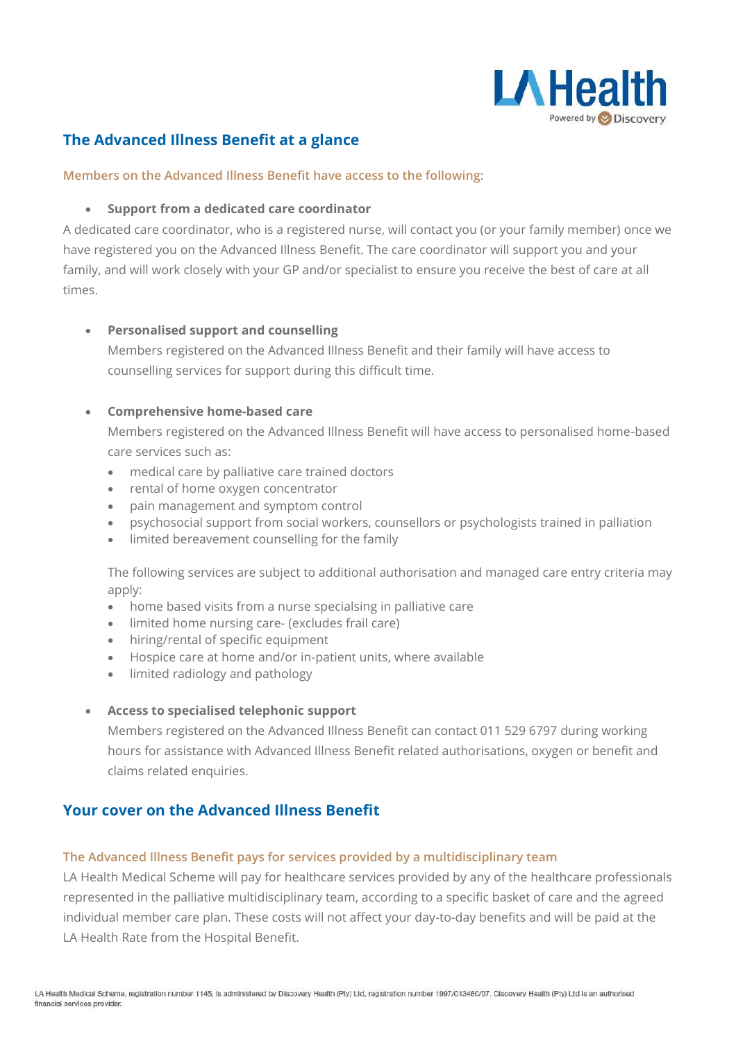

## **The Advanced Illness Benefit at a glance**

#### **Members on the Advanced Illness Benefit have access to the following:**

#### • **Support from a dedicated care coordinator**

A dedicated care coordinator, who is a registered nurse, will contact you (or your family member) once we have registered you on the Advanced Illness Benefit. The care coordinator will support you and your family, and will work closely with your GP and/or specialist to ensure you receive the best of care at all times.

#### • **Personalised support and counselling**

Members registered on the Advanced Illness Benefit and their family will have access to counselling services for support during this difficult time.

#### • **Comprehensive home-based care**

Members registered on the Advanced Illness Benefit will have access to personalised home-based care services such as:

- medical care by palliative care trained doctors
- rental of home oxygen concentrator
- pain management and symptom control
- psychosocial support from social workers, counsellors or psychologists trained in palliation
- limited bereavement counselling for the family

The following services are subject to additional authorisation and managed care entry criteria may apply:

- home based visits from a nurse specialsing in palliative care
- limited home nursing care- (excludes frail care)
- hiring/rental of specific equipment
- Hospice care at home and/or in-patient units, where available
- limited radiology and pathology

#### • **Access to specialised telephonic support**

Members registered on the Advanced Illness Benefit can contact 011 529 6797 during working hours for assistance with Advanced Illness Benefit related authorisations, oxygen or benefit and claims related enquiries.

### **Your cover on the Advanced Illness Benefit**

#### **The Advanced Illness Benefit pays for services provided by a multidisciplinary team**

LA Health Medical Scheme will pay for healthcare services provided by any of the healthcare professionals represented in the palliative multidisciplinary team, according to a specific basket of care and the agreed individual member care plan. These costs will not affect your day-to-day benefits and will be paid at the LA Health Rate from the Hospital Benefit.